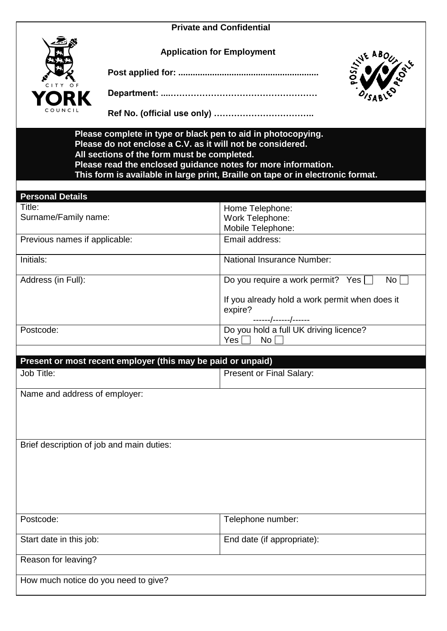### **Private and Confidential**

**Application for Employment**

**Post applied for: ..........................................................**

**Department: ....……………………………………………**

| ABO<br>ċ. |
|-----------|
| 8<br>₽    |

**Ref No. (official use only) ……………………………..**

**Please complete in type or black pen to aid in photocopying. Please do not enclose a C.V. as it will not be considered. All sections of the form must be completed. Please read the enclosed guidance notes for more information. This form is available in large print, Braille on tape or in electronic format.**

| <b>Personal Details</b>       |                                                |
|-------------------------------|------------------------------------------------|
| Title:                        | Home Telephone:                                |
| Surname/Family name:          | Work Telephone:                                |
|                               | Mobile Telephone:                              |
| Previous names if applicable: | Email address:                                 |
| Initials:                     | <b>National Insurance Number:</b>              |
| Address (in Full):            | Do you require a work permit? Yes<br>No L      |
|                               | If you already hold a work permit when does it |
|                               | expire?                                        |
|                               | ------/------/------                           |
| Postcode:                     | Do you hold a full UK driving licence?         |
|                               | No<br>Yes I                                    |

| Present or most recent employer (this may be paid or unpaid) |                            |  |  |  |
|--------------------------------------------------------------|----------------------------|--|--|--|
| Job Title:                                                   | Present or Final Salary:   |  |  |  |
| Name and address of employer:                                |                            |  |  |  |
|                                                              |                            |  |  |  |
| Brief description of job and main duties:                    |                            |  |  |  |
|                                                              |                            |  |  |  |
|                                                              |                            |  |  |  |
|                                                              |                            |  |  |  |
| Postcode:                                                    | Telephone number:          |  |  |  |
| Start date in this job:                                      | End date (if appropriate): |  |  |  |
| Reason for leaving?                                          |                            |  |  |  |
| How much notice do you need to give?                         |                            |  |  |  |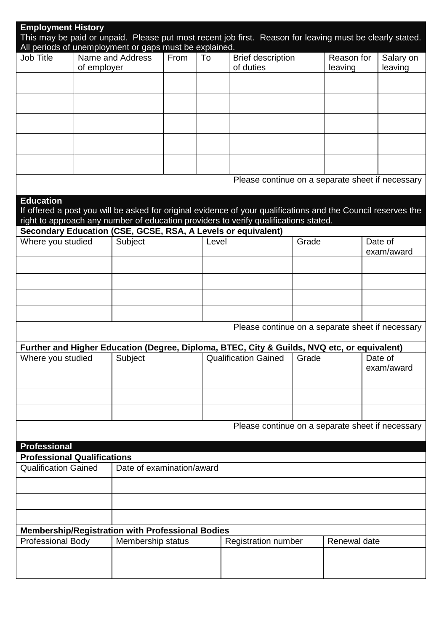| <b>Employment History</b>                                           |                                                          |                   |      |    |                                                                                                                                                      |       |              | This may be paid or unpaid. Please put most recent job first. Reason for leaving must be clearly stated.      |
|---------------------------------------------------------------------|----------------------------------------------------------|-------------------|------|----|------------------------------------------------------------------------------------------------------------------------------------------------------|-------|--------------|---------------------------------------------------------------------------------------------------------------|
| All periods of unemployment or gaps must be explained.<br>Job Title |                                                          | Name and Address  | From | To | <b>Brief description</b>                                                                                                                             |       | Reason for   | Salary on                                                                                                     |
|                                                                     | of employer                                              |                   |      |    | of duties                                                                                                                                            |       | leaving      | leaving                                                                                                       |
|                                                                     |                                                          |                   |      |    |                                                                                                                                                      |       |              |                                                                                                               |
|                                                                     |                                                          |                   |      |    |                                                                                                                                                      |       |              |                                                                                                               |
|                                                                     |                                                          |                   |      |    |                                                                                                                                                      |       |              |                                                                                                               |
|                                                                     |                                                          |                   |      |    |                                                                                                                                                      |       |              |                                                                                                               |
|                                                                     |                                                          |                   |      |    |                                                                                                                                                      |       |              | Please continue on a separate sheet if necessary                                                              |
| <b>Education</b>                                                    |                                                          |                   |      |    |                                                                                                                                                      |       |              | If offered a post you will be asked for original evidence of your qualifications and the Council reserves the |
|                                                                     |                                                          |                   |      |    | right to approach any number of education providers to verify qualifications stated.<br>Secondary Education (CSE, GCSE, RSA, A Levels or equivalent) |       |              |                                                                                                               |
| Where you studied                                                   |                                                          | Subject           |      |    | Level                                                                                                                                                |       |              | Date of<br>exam/award                                                                                         |
|                                                                     |                                                          |                   |      |    |                                                                                                                                                      |       |              |                                                                                                               |
|                                                                     |                                                          |                   |      |    |                                                                                                                                                      |       |              |                                                                                                               |
|                                                                     |                                                          |                   |      |    |                                                                                                                                                      |       |              |                                                                                                               |
|                                                                     |                                                          |                   |      |    |                                                                                                                                                      |       |              |                                                                                                               |
|                                                                     |                                                          |                   |      |    |                                                                                                                                                      |       |              | Please continue on a separate sheet if necessary                                                              |
|                                                                     |                                                          |                   |      |    | Further and Higher Education (Degree, Diploma, BTEC, City & Guilds, NVQ etc, or equivalent)                                                          |       |              |                                                                                                               |
| Where you studied                                                   |                                                          | Subject           |      |    | Qualification Gained                                                                                                                                 | Grade |              | Date of<br>exam/award                                                                                         |
|                                                                     |                                                          |                   |      |    |                                                                                                                                                      |       |              |                                                                                                               |
|                                                                     |                                                          |                   |      |    |                                                                                                                                                      |       |              |                                                                                                               |
|                                                                     |                                                          |                   |      |    |                                                                                                                                                      |       |              | Please continue on a separate sheet if necessary                                                              |
| <b>Professional</b>                                                 |                                                          |                   |      |    |                                                                                                                                                      |       |              |                                                                                                               |
| <b>Professional Qualifications</b>                                  |                                                          |                   |      |    |                                                                                                                                                      |       |              |                                                                                                               |
|                                                                     | <b>Qualification Gained</b><br>Date of examination/award |                   |      |    |                                                                                                                                                      |       |              |                                                                                                               |
|                                                                     |                                                          |                   |      |    |                                                                                                                                                      |       |              |                                                                                                               |
|                                                                     |                                                          |                   |      |    |                                                                                                                                                      |       |              |                                                                                                               |
| Membership/Registration with Professional Bodies                    |                                                          |                   |      |    |                                                                                                                                                      |       |              |                                                                                                               |
| <b>Professional Body</b>                                            |                                                          | Membership status |      |    | <b>Registration number</b>                                                                                                                           |       | Renewal date |                                                                                                               |
|                                                                     |                                                          |                   |      |    |                                                                                                                                                      |       |              |                                                                                                               |
|                                                                     |                                                          |                   |      |    |                                                                                                                                                      |       |              |                                                                                                               |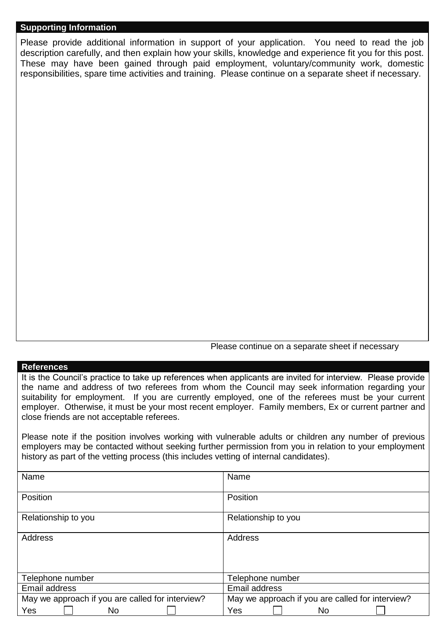# **Supporting Information**

Please provide additional information in support of your application. You need to read the job description carefully, and then explain how your skills, knowledge and experience fit you for this post. These may have been gained through paid employment, voluntary/community work, domestic responsibilities, spare time activities and training. Please continue on a separate sheet if necessary.

Please continue on a separate sheet if necessary

#### **References**

It is the Council's practice to take up references when applicants are invited for interview. Please provide the name and address of two referees from whom the Council may seek information regarding your suitability for employment. If you are currently employed, one of the referees must be your current employer. Otherwise, it must be your most recent employer. Family members, Ex or current partner and close friends are not acceptable referees.

Please note if the position involves working with vulnerable adults or children any number of previous employers may be contacted without seeking further permission from you in relation to your employment history as part of the vetting process (this includes vetting of internal candidates).

| Name                                             | Name                                             |
|--------------------------------------------------|--------------------------------------------------|
| Position                                         | Position                                         |
| Relationship to you                              | Relationship to you                              |
| <b>Address</b>                                   | Address                                          |
| Telephone number                                 | Telephone number                                 |
| Email address                                    | Email address                                    |
| May we approach if you are called for interview? | May we approach if you are called for interview? |
| <b>Yes</b><br>No                                 | Yes<br>No                                        |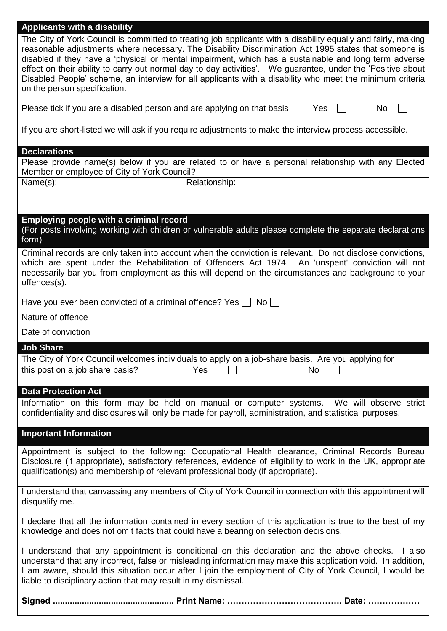| <b>Applicants with a disability</b><br>The City of York Council is committed to treating job applicants with a disability equally and fairly, making<br>reasonable adjustments where necessary. The Disability Discrimination Act 1995 states that someone is<br>disabled if they have a 'physical or mental impairment, which has a sustainable and long term adverse<br>effect on their ability to carry out normal day to day activities'.  We guarantee, under the 'Positive about<br>Disabled People' scheme, an interview for all applicants with a disability who meet the minimum criteria<br>on the person specification.<br>Please tick if you are a disabled person and are applying on that basis<br>Yes<br>No<br>If you are short-listed we will ask if you require adjustments to make the interview process accessible.<br><b>Declarations</b><br>Please provide name(s) below if you are related to or have a personal relationship with any Elected |
|----------------------------------------------------------------------------------------------------------------------------------------------------------------------------------------------------------------------------------------------------------------------------------------------------------------------------------------------------------------------------------------------------------------------------------------------------------------------------------------------------------------------------------------------------------------------------------------------------------------------------------------------------------------------------------------------------------------------------------------------------------------------------------------------------------------------------------------------------------------------------------------------------------------------------------------------------------------------|
| Member or employee of City of York Council?<br>Name(s):<br>Relationship:                                                                                                                                                                                                                                                                                                                                                                                                                                                                                                                                                                                                                                                                                                                                                                                                                                                                                             |
|                                                                                                                                                                                                                                                                                                                                                                                                                                                                                                                                                                                                                                                                                                                                                                                                                                                                                                                                                                      |
| <b>Employing people with a criminal record</b><br>(For posts involving working with children or vulnerable adults please complete the separate declarations<br>form)                                                                                                                                                                                                                                                                                                                                                                                                                                                                                                                                                                                                                                                                                                                                                                                                 |
| Criminal records are only taken into account when the conviction is relevant. Do not disclose convictions,<br>which are spent under the Rehabilitation of Offenders Act 1974. An 'unspent' conviction will not<br>necessarily bar you from employment as this will depend on the circumstances and background to your<br>offences(s).                                                                                                                                                                                                                                                                                                                                                                                                                                                                                                                                                                                                                                |
| Have you ever been convicted of a criminal offence? Yes $\Box$ No $\Box$                                                                                                                                                                                                                                                                                                                                                                                                                                                                                                                                                                                                                                                                                                                                                                                                                                                                                             |
| Nature of offence                                                                                                                                                                                                                                                                                                                                                                                                                                                                                                                                                                                                                                                                                                                                                                                                                                                                                                                                                    |
| Date of conviction                                                                                                                                                                                                                                                                                                                                                                                                                                                                                                                                                                                                                                                                                                                                                                                                                                                                                                                                                   |
| <b>Job Share</b>                                                                                                                                                                                                                                                                                                                                                                                                                                                                                                                                                                                                                                                                                                                                                                                                                                                                                                                                                     |
| The City of York Council welcomes individuals to apply on a job-share basis. Are you applying for<br>this post on a job share basis?<br>Yes<br><b>No</b>                                                                                                                                                                                                                                                                                                                                                                                                                                                                                                                                                                                                                                                                                                                                                                                                             |
| <b>Data Protection Act</b>                                                                                                                                                                                                                                                                                                                                                                                                                                                                                                                                                                                                                                                                                                                                                                                                                                                                                                                                           |
| Information on this form may be held on manual or computer systems. We will observe strict<br>confidentiality and disclosures will only be made for payroll, administration, and statistical purposes.                                                                                                                                                                                                                                                                                                                                                                                                                                                                                                                                                                                                                                                                                                                                                               |
| <b>Important Information</b>                                                                                                                                                                                                                                                                                                                                                                                                                                                                                                                                                                                                                                                                                                                                                                                                                                                                                                                                         |
| Appointment is subject to the following: Occupational Health clearance, Criminal Records Bureau<br>Disclosure (if appropriate), satisfactory references, evidence of eligibility to work in the UK, appropriate<br>qualification(s) and membership of relevant professional body (if appropriate).                                                                                                                                                                                                                                                                                                                                                                                                                                                                                                                                                                                                                                                                   |
| I understand that canvassing any members of City of York Council in connection with this appointment will<br>disqualify me.                                                                                                                                                                                                                                                                                                                                                                                                                                                                                                                                                                                                                                                                                                                                                                                                                                          |
| I declare that all the information contained in every section of this application is true to the best of my<br>knowledge and does not omit facts that could have a bearing on selection decisions.                                                                                                                                                                                                                                                                                                                                                                                                                                                                                                                                                                                                                                                                                                                                                                   |
| I understand that any appointment is conditional on this declaration and the above checks.<br>I also<br>understand that any incorrect, false or misleading information may make this application void. In addition,<br>I am aware, should this situation occur after I join the employment of City of York Council, I would be<br>liable to disciplinary action that may result in my dismissal.                                                                                                                                                                                                                                                                                                                                                                                                                                                                                                                                                                     |
|                                                                                                                                                                                                                                                                                                                                                                                                                                                                                                                                                                                                                                                                                                                                                                                                                                                                                                                                                                      |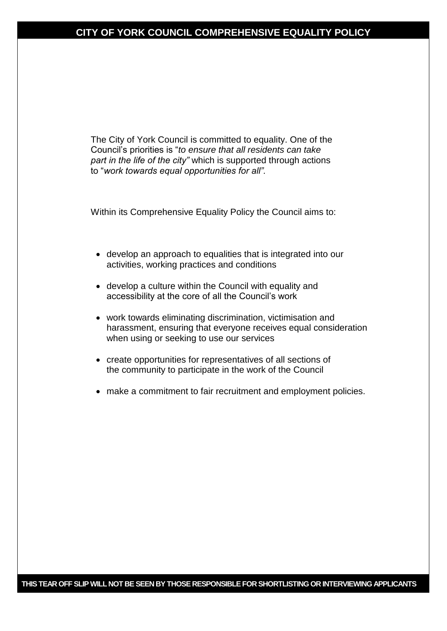# **CITY OF YORK COUNCIL COMPREHENSIVE EQUALITY POLICY**

The City of York Council is committed to equality. One of the Council's priorities is "*to ensure that all residents can take part in the life of the city"* which is supported through actions to "*work towards equal opportunities for all".*

Within its Comprehensive Equality Policy the Council aims to:

- develop an approach to equalities that is integrated into our activities, working practices and conditions
- develop a culture within the Council with equality and accessibility at the core of all the Council's work
- work towards eliminating discrimination, victimisation and harassment, ensuring that everyone receives equal consideration when using or seeking to use our services
- create opportunities for representatives of all sections of the community to participate in the work of the Council
- make a commitment to fair recruitment and employment policies.

**THIS TEAR OFF SLIP WILL NOT BE SEEN BY THOSE RESPONSIBLE FOR SHORTLISTING OR INTERVIEWING APPLICANTS**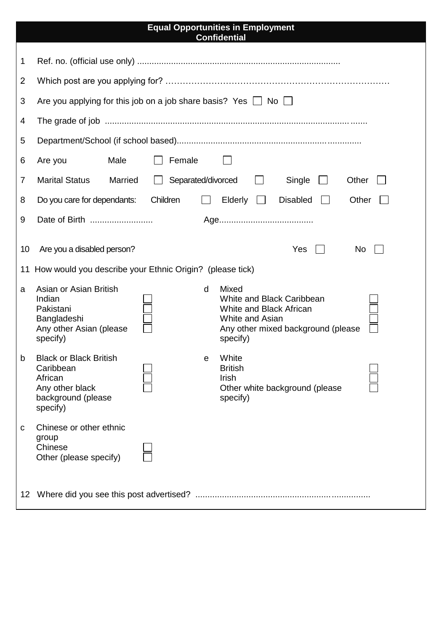### **Equal Opportunities in Employment Confidential**

| 1                                                                                                               |                                                                                                                                                                                                                                                |  |  |  |  |  |  |
|-----------------------------------------------------------------------------------------------------------------|------------------------------------------------------------------------------------------------------------------------------------------------------------------------------------------------------------------------------------------------|--|--|--|--|--|--|
| 2                                                                                                               |                                                                                                                                                                                                                                                |  |  |  |  |  |  |
| 3                                                                                                               | Are you applying for this job on a job share basis? Yes $\Box$ No $\Box$                                                                                                                                                                       |  |  |  |  |  |  |
| 4                                                                                                               |                                                                                                                                                                                                                                                |  |  |  |  |  |  |
| 5                                                                                                               |                                                                                                                                                                                                                                                |  |  |  |  |  |  |
| 6                                                                                                               | Male<br>Female<br>Are you                                                                                                                                                                                                                      |  |  |  |  |  |  |
| 7                                                                                                               | <b>Marital Status</b><br>Separated/divorced<br>Single<br>Married<br>Other                                                                                                                                                                      |  |  |  |  |  |  |
| 8                                                                                                               | Elderly $\Box$<br>Children<br><b>Disabled</b><br>Do you care for dependants:<br>Other                                                                                                                                                          |  |  |  |  |  |  |
| 9                                                                                                               |                                                                                                                                                                                                                                                |  |  |  |  |  |  |
| Yes<br>Are you a disabled person?<br>No<br>10<br>How would you describe your Ethnic Origin? (please tick)<br>11 |                                                                                                                                                                                                                                                |  |  |  |  |  |  |
| a                                                                                                               | Asian or Asian British<br>Mixed<br>d<br>Indian<br>White and Black Caribbean<br>Pakistani<br>White and Black African<br>Bangladeshi<br>White and Asian<br>Any other Asian (please<br>Any other mixed background (please<br>specify)<br>specify) |  |  |  |  |  |  |
| b                                                                                                               | White<br><b>Black or Black British</b><br>е<br>Caribbean<br><b>British</b><br>African<br>Irish<br>Other white background (please<br>Any other black<br>background (please<br>specify)<br>specify)                                              |  |  |  |  |  |  |
| C                                                                                                               | Chinese or other ethnic<br>group<br>Chinese<br>Other (please specify)                                                                                                                                                                          |  |  |  |  |  |  |
|                                                                                                                 |                                                                                                                                                                                                                                                |  |  |  |  |  |  |